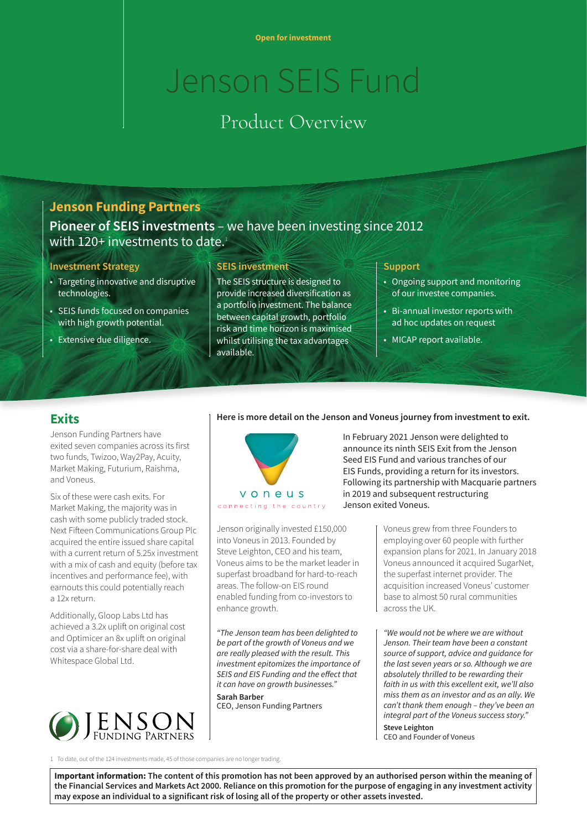# Jenson SEIS Fund

# Product Overview

# **Jenson Funding Partners**

**Pioneer of SEIS investments** – we have been investing since 2012 with 120+ investments to date.<sup>1</sup>

#### **Investment Strategy**

- Targeting innovative and disruptive technologies.
- SEIS funds focused on companies with high growth potential.
- Extensive due diligence.

#### **SEIS investment**

The SEIS structure is designed to provide increased diversification as a portfolio investment. The balance between capital growth, portfolio risk and time horizon is maximised whilst utilising the tax advantages available.

#### **Support**

- Ongoing support and monitoring of our investee companies.
- Bi-annual investor reports with ad hoc updates on request
- MICAP report available.

### **Exits**

Jenson Funding Partners have exited seven companies across its first two funds, Twizoo, Way2Pay, Acuity, Market Making, Futurium, Raishma, and Voneus.

Six of these were cash exits. For Market Making, the majority was in cash with some publicly traded stock. Next Fifteen Communications Group Plc acquired the entire issued share capital with a current return of 5.25x investment with a mix of cash and equity (before tax incentives and performance fee), with earnouts this could potentially reach a 12x return.

Additionally, Gloop Labs Ltd has achieved a 3.2x uplift on original cost and Optimicer an 8x uplift on original cost via a share-for-share deal with Whitespace Global Ltd.



#### **Here is more detail on the Jenson and Voneus journey from investment to exit.**



Jenson originally invested £150,000 into Voneus in 2013. Founded by Steve Leighton, CEO and his team, Voneus aims to be the market leader in superfast broadband for hard-to-reach areas. The follow-on EIS round enabled funding from co-investors to enhance growth.

*"The Jenson team has been delighted to be part of the growth of Voneus and we are really pleased with the result. This investment epitomizes the importance of SEIS and EIS Funding and the effect that it can have on growth businesses."* **Sarah Barber** 

CEO, Jenson Funding Partners

 In February 2021 Jenson were delighted to announce its ninth SEIS Exit from the Jenson Seed EIS Fund and various tranches of our EIS Funds, providing a return for its investors. Following its partnership with Macquarie partners in 2019 and subsequent restructuring Jenson exited Voneus.

> Voneus grew from three Founders to employing over 60 people with further expansion plans for 2021. In January 2018 Voneus announced it acquired SugarNet, the superfast internet provider. The acquisition increased Voneus' customer base to almost 50 rural communities across the UK.

*"We would not be where we are without Jenson. Their team have been a constant source of support, advice and guidance for the last seven years or so. Although we are absolutely thrilled to be rewarding their faith in us with this excellent exit, we'll also miss them as an investor and as an ally. We can't thank them enough – they've been an integral part of the Voneus success story."* **Steve Leighton** 

CEO and Founder of Voneus

1 To date, out of the 124 investments made, 45 of those companies are no longer trading.

**Important information: The content of this promotion has not been approved by an authorised person within the meaning of the Financial Services and Markets Act 2000. Reliance on this promotion for the purpose of engaging in any investment activity may expose an individual to a significant risk of losing all of the property or other assets invested.**